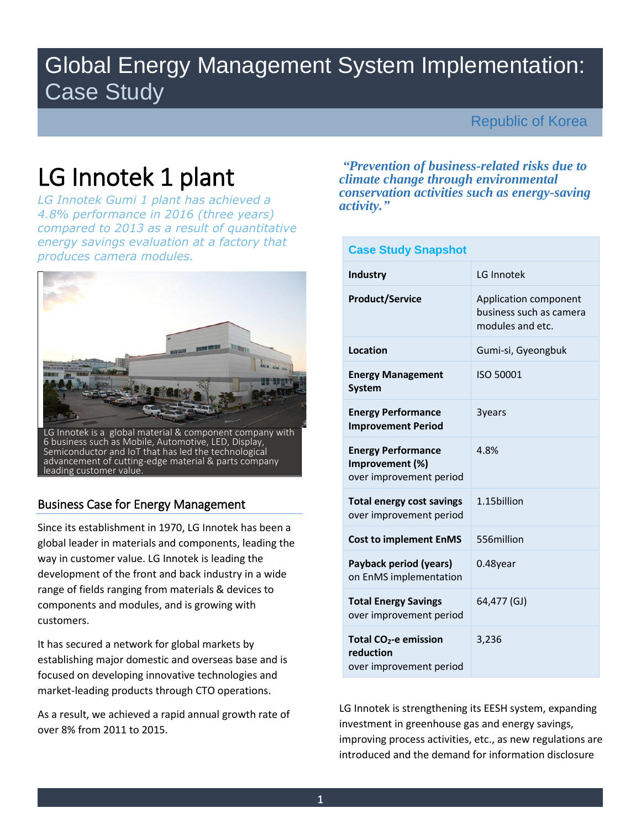## Global Energy Management System Implementation: Case Study

## Republic of Korea

# LG Innotek 1 plant

*LG Innotek Gumi 1 plant has achieved a 4.8% performance in 2016 (three years) compared to 2013 as a result of quantitative energy savings evaluation at a factory that produces camera modules.* 



## Business Case for Energy Management

Since its establishment in 1970, LG Innotek has been a global leader in materials and components, leading the way in customer value. LG Innotek is leading the development of the front and back industry in a wide range of fields ranging from materials & devices to components and modules, and is growing with customers.

It has secured a network for global markets by establishing major domestic and overseas base and is focused on developing innovative technologies and market-leading products through CTO operations.

As a result, we achieved a rapid annual growth rate of over 8% from 2011 to 2015.

*"Prevention of business-related risks due to climate change through environmental conservation activities such as energy-saving activity."*

| <b>Case Study Snapshot</b>                                                |                                                                      |  |  |  |
|---------------------------------------------------------------------------|----------------------------------------------------------------------|--|--|--|
| <b>Industry</b>                                                           | LG Innotek                                                           |  |  |  |
| <b>Product/Service</b>                                                    | Application component<br>business such as camera<br>modules and etc. |  |  |  |
| Location                                                                  | Gumi-si, Gyeongbuk                                                   |  |  |  |
| <b>Energy Management</b><br><b>System</b>                                 | ISO 50001                                                            |  |  |  |
| <b>Energy Performance</b><br><b>Improvement Period</b>                    | 3years                                                               |  |  |  |
| <b>Energy Performance</b><br>Improvement (%)<br>over improvement period   | 4.8%                                                                 |  |  |  |
| <b>Total energy cost savings</b><br>over improvement period               | 1.15 billion                                                         |  |  |  |
| <b>Cost to implement EnMS</b>                                             | 556million                                                           |  |  |  |
| Payback period (years)<br>on EnMS implementation                          | 0.48year                                                             |  |  |  |
| <b>Total Energy Savings</b><br>over improvement period                    | 64,477 (GJ)                                                          |  |  |  |
| Total CO <sub>2</sub> -e emission<br>reduction<br>over improvement period | 3,236                                                                |  |  |  |

LG Innotek is strengthening its EESH system, expanding investment in greenhouse gas and energy savings, improving process activities, etc., as new regulations are introduced and the demand for information disclosure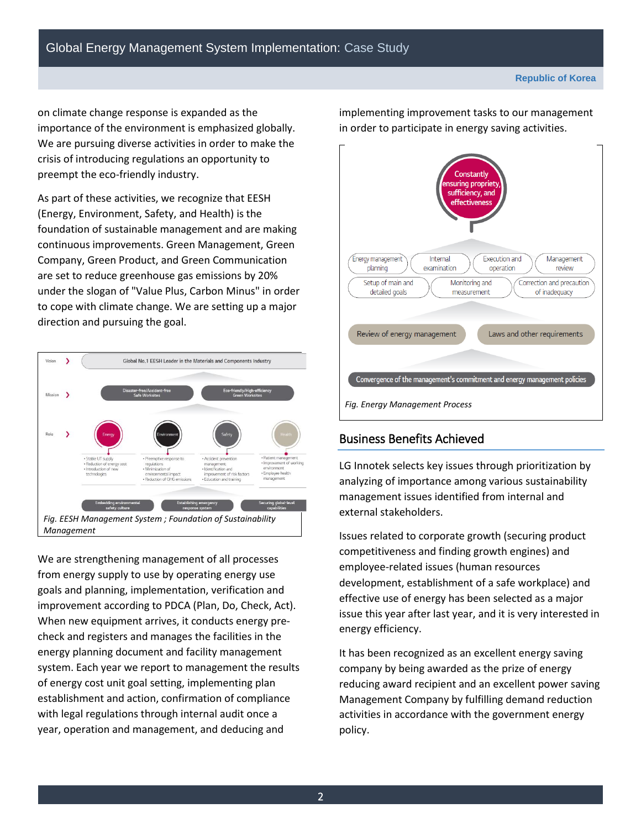on climate change response is expanded as the importance of the environment is emphasized globally. We are pursuing diverse activities in order to make the crisis of introducing regulations an opportunity to preempt the eco-friendly industry.

As part of these activities, we recognize that EESH (Energy, Environment, Safety, and Health) is the foundation of sustainable management and are making continuous improvements. Green Management, Green Company, Green Product, and Green Communication are set to reduce greenhouse gas emissions by 20% under the slogan of "Value Plus, Carbon Minus" in order to cope with climate change. We are setting up a major direction and pursuing the goal.



We are strengthening management of all processes from energy supply to use by operating energy use goals and planning, implementation, verification and improvement according to PDCA (Plan, Do, Check, Act). When new equipment arrives, it conducts energy precheck and registers and manages the facilities in the energy planning document and facility management system. Each year we report to management the results of energy cost unit goal setting, implementing plan establishment and action, confirmation of compliance with legal regulations through internal audit once a year, operation and management, and deducing and

ionstantly suring propriet sufficiency, and **effectiveness Energy management** Internal Execution and Management planning examination operation review Setup of main and Monitoring and Correction and precaution detailed goals measurement of inadequacy Review of energy management Laws and other requirements Convergence of the management's commitment and energy management policies *Fig. Energy Management Process*

implementing improvement tasks to our management in order to participate in energy saving activities.

## Business Benefits Achieved

LG Innotek selects key issues through prioritization by analyzing of importance among various sustainability management issues identified from internal and external stakeholders.

Issues related to corporate growth (securing product competitiveness and finding growth engines) and employee-related issues (human resources development, establishment of a safe workplace) and effective use of energy has been selected as a major issue this year after last year, and it is very interested in energy efficiency.

It has been recognized as an excellent energy saving company by being awarded as the prize of energy reducing award recipient and an excellent power saving Management Company by fulfilling demand reduction activities in accordance with the government energy policy.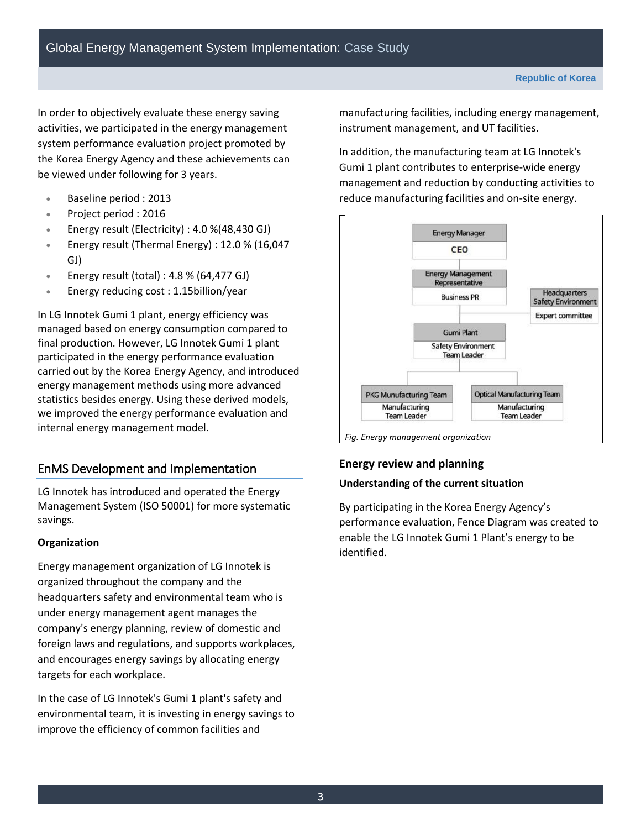In order to objectively evaluate these energy saving activities, we participated in the energy management system performance evaluation project promoted by the Korea Energy Agency and these achievements can be viewed under following for 3 years.

- Baseline period : 2013
- Project period : 2016
- Energy result (Electricity) : 4.0 %(48,430 GJ)
- Energy result (Thermal Energy) : 12.0 % (16,047 GJ)
- Energy result (total) :  $4.8\%$  (64,477 GJ)
- Energy reducing cost : 1.15billion/year

In LG Innotek Gumi 1 plant, energy efficiency was managed based on energy consumption compared to final production. However, LG Innotek Gumi 1 plant participated in the energy performance evaluation carried out by the Korea Energy Agency, and introduced energy management methods using more advanced statistics besides energy. Using these derived models, we improved the energy performance evaluation and internal energy management model.

## EnMS Development and Implementation

LG Innotek has introduced and operated the Energy Management System (ISO 50001) for more systematic savings.

#### **Organization**

Energy management organization of LG Innotek is organized throughout the company and the headquarters safety and environmental team who is under energy management agent manages the company's energy planning, review of domestic and foreign laws and regulations, and supports workplaces, and encourages energy savings by allocating energy targets for each workplace.

In the case of LG Innotek's Gumi 1 plant's safety and environmental team, it is investing in energy savings to improve the efficiency of common facilities and

manufacturing facilities, including energy management, instrument management, and UT facilities.

In addition, the manufacturing team at LG Innotek's Gumi 1 plant contributes to enterprise-wide energy management and reduction by conducting activities to reduce manufacturing facilities and on-site energy.



## **Energy review and planning**

#### **Understanding of the current situation**

By participating in the Korea Energy Agency's performance evaluation, Fence Diagram was created to enable the LG Innotek Gumi 1 Plant's energy to be identified.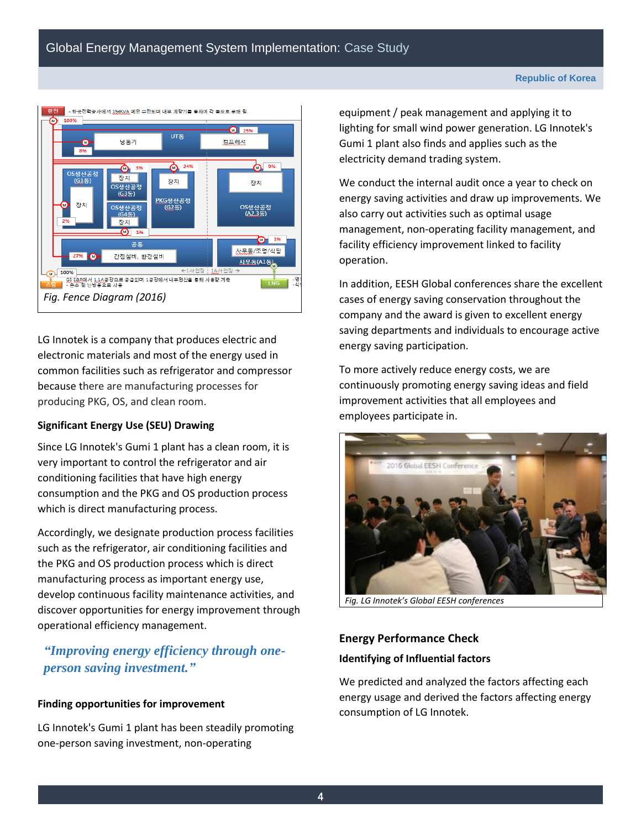

LG Innotek is a company that produces electric and electronic materials and most of the energy used in common facilities such as refrigerator and compressor because there are manufacturing processes for producing PKG, OS, and clean room.

#### **Significant Energy Use (SEU) Drawing**

Since LG Innotek's Gumi 1 plant has a clean room, it is very important to control the refrigerator and air conditioning facilities that have high energy consumption and the PKG and OS production process which is direct manufacturing process.

Accordingly, we designate production process facilities such as the refrigerator, air conditioning facilities and the PKG and OS production process which is direct manufacturing process as important energy use, develop continuous facility maintenance activities, and discover opportunities for energy improvement through operational efficiency management.

## *"Improving energy efficiency through oneperson saving investment."*

#### **Finding opportunities for improvement**

LG Innotek's Gumi 1 plant has been steadily promoting one-person saving investment, non-operating

equipment / peak management and applying it to lighting for small wind power generation. LG Innotek's Gumi 1 plant also finds and applies such as the electricity demand trading system.

We conduct the internal audit once a year to check on energy saving activities and draw up improvements. We also carry out activities such as optimal usage management, non-operating facility management, and facility efficiency improvement linked to facility operation.

In addition, EESH Global conferences share the excellent cases of energy saving conservation throughout the company and the award is given to excellent energy saving departments and individuals to encourage active energy saving participation.

To more actively reduce energy costs, we are continuously promoting energy saving ideas and field improvement activities that all employees and employees participate in.



*Fig. LG Innotek's Global EESH conferences* 

## **Energy Performance Check Identifying of Influential factors**

We predicted and analyzed the factors affecting each energy usage and derived the factors affecting energy consumption of LG Innotek.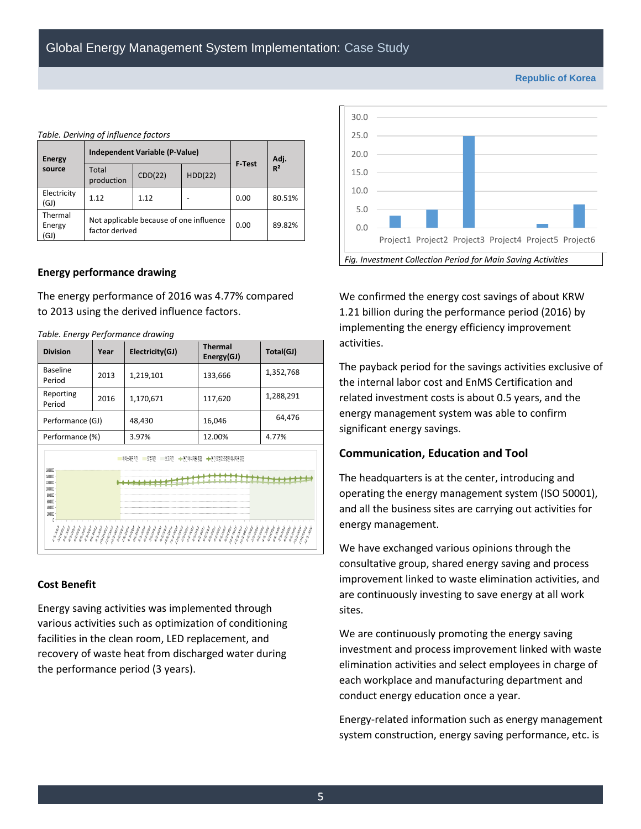| <b>Energy</b><br>source   | Independent Variable (P-Value)                            |         |         | F Test | Adj.           |  |  |
|---------------------------|-----------------------------------------------------------|---------|---------|--------|----------------|--|--|
|                           | Total<br>production                                       | CDD(22) | HDD(22) |        | R <sup>2</sup> |  |  |
| Electricity<br>(GJ)       | 1.12                                                      | 1.12    |         | 0.00   | 80.51%         |  |  |
| Thermal<br>Energy<br>(GJ) | Not applicable because of one influence<br>factor derived |         |         | 0.00   | 89.82%         |  |  |

#### **Energy performance drawing**

*Table. Deriving of influence factors* 

The energy performance of 2016 was 4.77% compared to 2013 using the derived influence factors.

| <b>Division</b>                                                                                                                                                                                                                                                                                                                                                                                                                                                                                                                                                                                | Year | Electricity(GJ) | <b>Thermal</b><br>Energy(GJ) | Total(GJ) |  |  |  |
|------------------------------------------------------------------------------------------------------------------------------------------------------------------------------------------------------------------------------------------------------------------------------------------------------------------------------------------------------------------------------------------------------------------------------------------------------------------------------------------------------------------------------------------------------------------------------------------------|------|-----------------|------------------------------|-----------|--|--|--|
| <b>Baseline</b><br>Period                                                                                                                                                                                                                                                                                                                                                                                                                                                                                                                                                                      | 2013 | 1,219,101       | 133,666                      | 1,352,768 |  |  |  |
| Reporting<br>Period                                                                                                                                                                                                                                                                                                                                                                                                                                                                                                                                                                            | 2016 | 1,170,671       | 117,620                      | 1,288,291 |  |  |  |
| Performance (GJ)                                                                                                                                                                                                                                                                                                                                                                                                                                                                                                                                                                               |      | 48,430          | 16,046                       | 64,476    |  |  |  |
| Performance (%)                                                                                                                                                                                                                                                                                                                                                                                                                                                                                                                                                                                |      | 3.97%           | 12.00%                       | 4.77%     |  |  |  |
| ←면간에너지원총합<br>◆ 역간 모델로 조정된 에너지원 총합<br>보고기간<br>비아산이가<br>1600000<br>140000<br>120000<br>100000<br>80000<br>60000<br>40000<br>20000<br><b>Maple</b><br><b>Map</b><br>number.<br>12020<br>10101<br>14/pay<br>14/page<br>11/100<br>ulupar<br>inland.<br>1000-<br>10100<br>CIUMPAL<br>and pay.<br>UNANY !<br>1New<br>11/par<br>Way.<br>12/par<br>Allah<br>AMPA <sub>00</sub><br>allee.<br><b>CANADA</b><br>10/00<br>1/2ay<br>allage.<br>1/par<br>14/pay<br>1/par<br>140A<br><b>Allen</b><br>alley.<br>1Nov.<br>AND BY<br>1000<br>1000<br>Alley.<br>11/par<br><b>Number</b><br><b>ART</b><br>APA<br>AP |      |                 |                              |           |  |  |  |

#### **Cost Benefit**

Energy saving activities was implemented through various activities such as optimization of conditioning facilities in the clean room, LED replacement, and recovery of waste heat from discharged water during the performance period (3 years).



We confirmed the energy cost savings of about KRW 1.21 billion during the performance period (2016) by implementing the energy efficiency improvement activities.

The payback period for the savings activities exclusive of the internal labor cost and EnMS Certification and related investment costs is about 0.5 years, and the energy management system was able to confirm significant energy savings.

#### **Communication, Education and Tool**

The headquarters is at the center, introducing and operating the energy management system (ISO 50001), and all the business sites are carrying out activities for energy management.

We have exchanged various opinions through the consultative group, shared energy saving and process improvement linked to waste elimination activities, and are continuously investing to save energy at all work sites.

We are continuously promoting the energy saving investment and process improvement linked with waste elimination activities and select employees in charge of each workplace and manufacturing department and conduct energy education once a year.

Energy-related information such as energy management system construction, energy saving performance, etc. is